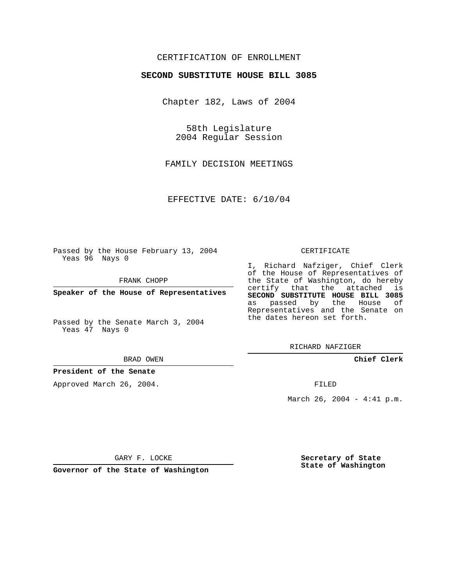## CERTIFICATION OF ENROLLMENT

### **SECOND SUBSTITUTE HOUSE BILL 3085**

Chapter 182, Laws of 2004

58th Legislature 2004 Regular Session

FAMILY DECISION MEETINGS

EFFECTIVE DATE: 6/10/04

Passed by the House February 13, 2004 Yeas 96 Nays 0

FRANK CHOPP

**Speaker of the House of Representatives**

Passed by the Senate March 3, 2004 Yeas 47 Nays 0

#### BRAD OWEN

## **President of the Senate**

Approved March 26, 2004.

#### CERTIFICATE

I, Richard Nafziger, Chief Clerk of the House of Representatives of the State of Washington, do hereby certify that the attached is **SECOND SUBSTITUTE HOUSE BILL 3085** as passed by the House of Representatives and the Senate on the dates hereon set forth.

RICHARD NAFZIGER

**Chief Clerk**

FILED

March 26, 2004 - 4:41 p.m.

GARY F. LOCKE

**Governor of the State of Washington**

**Secretary of State State of Washington**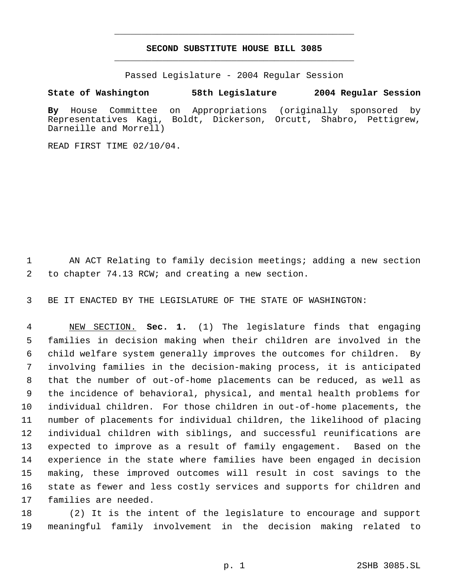# **SECOND SUBSTITUTE HOUSE BILL 3085** \_\_\_\_\_\_\_\_\_\_\_\_\_\_\_\_\_\_\_\_\_\_\_\_\_\_\_\_\_\_\_\_\_\_\_\_\_\_\_\_\_\_\_\_\_

\_\_\_\_\_\_\_\_\_\_\_\_\_\_\_\_\_\_\_\_\_\_\_\_\_\_\_\_\_\_\_\_\_\_\_\_\_\_\_\_\_\_\_\_\_

Passed Legislature - 2004 Regular Session

## **State of Washington 58th Legislature 2004 Regular Session**

**By** House Committee on Appropriations (originally sponsored by Representatives Kagi, Boldt, Dickerson, Orcutt, Shabro, Pettigrew, Darneille and Morrell)

READ FIRST TIME 02/10/04.

 AN ACT Relating to family decision meetings; adding a new section to chapter 74.13 RCW; and creating a new section.

BE IT ENACTED BY THE LEGISLATURE OF THE STATE OF WASHINGTON:

 NEW SECTION. **Sec. 1.** (1) The legislature finds that engaging families in decision making when their children are involved in the child welfare system generally improves the outcomes for children. By involving families in the decision-making process, it is anticipated that the number of out-of-home placements can be reduced, as well as the incidence of behavioral, physical, and mental health problems for individual children. For those children in out-of-home placements, the number of placements for individual children, the likelihood of placing individual children with siblings, and successful reunifications are expected to improve as a result of family engagement. Based on the experience in the state where families have been engaged in decision making, these improved outcomes will result in cost savings to the state as fewer and less costly services and supports for children and families are needed.

 (2) It is the intent of the legislature to encourage and support meaningful family involvement in the decision making related to